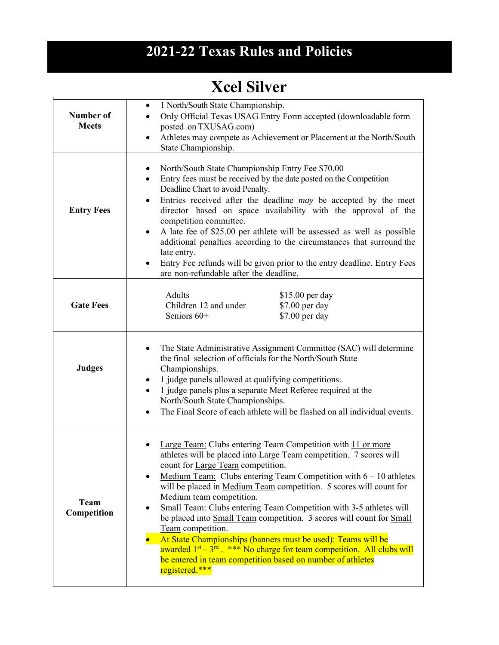## **2021-22 Texas Rules and Policies**

## **Xcel Silver**

| Number of<br><b>Meets</b> | 1 North/South State Championship.<br>$\bullet$<br>Only Official Texas USAG Entry Form accepted (downloadable form<br>posted on TXUSAG.com)<br>Athletes may compete as Achievement or Placement at the North/South<br>$\bullet$<br>State Championship.                                                                                                                                                                                                                                                                                                                                                                                                                                                                                                            |
|---------------------------|------------------------------------------------------------------------------------------------------------------------------------------------------------------------------------------------------------------------------------------------------------------------------------------------------------------------------------------------------------------------------------------------------------------------------------------------------------------------------------------------------------------------------------------------------------------------------------------------------------------------------------------------------------------------------------------------------------------------------------------------------------------|
| <b>Entry Fees</b>         | North/South State Championship Entry Fee \$70.00<br>٠<br>Entry fees must be received by the date posted on the Competition<br>$\bullet$<br>Deadline Chart to avoid Penalty.<br>Entries received after the deadline may be accepted by the meet<br>$\bullet$<br>director based on space availability with the approval of the<br>competition committee.<br>A late fee of \$25.00 per athlete will be assessed as well as possible<br>$\bullet$<br>additional penalties according to the circumstances that surround the<br>late entry.<br>Entry Fee refunds will be given prior to the entry deadline. Entry Fees<br>are non-refundable after the deadline.                                                                                                       |
| <b>Gate Fees</b>          | Adults<br>\$15.00 per day<br>Children 12 and under<br>\$7.00 per day<br>\$7.00 per day<br>Seniors 60+                                                                                                                                                                                                                                                                                                                                                                                                                                                                                                                                                                                                                                                            |
| <b>Judges</b>             | The State Administrative Assignment Committee (SAC) will determine<br>$\bullet$<br>the final selection of officials for the North/South State<br>Championships.<br>1 judge panels allowed at qualifying competitions.<br>$\bullet$<br>1 judge panels plus a separate Meet Referee required at the<br>North/South State Championships.<br>The Final Score of each athlete will be flashed on all individual events.                                                                                                                                                                                                                                                                                                                                               |
| Team<br>Competition       | Large Team: Clubs entering Team Competition with 11 or more<br>athletes will be placed into Large Team competition. 7 scores will<br>count for Large Team competition.<br>Medium Team: Clubs entering Team Competition with $6 - 10$ athletes<br>$\bullet$<br>will be placed in Medium Team competition. 5 scores will count for<br>Medium team competition.<br>Small Team: Clubs entering Team Competition with 3-5 athletes will<br>٠<br>be placed into Small Team competition. 3 scores will count for Small<br>Team competition.<br>At State Championships (banners must be used): Teams will be<br>awarded $1st - 3rd$ . *** No charge for team competition. All clubs will<br>be entered in team competition based on number of athletes<br>registered.*** |